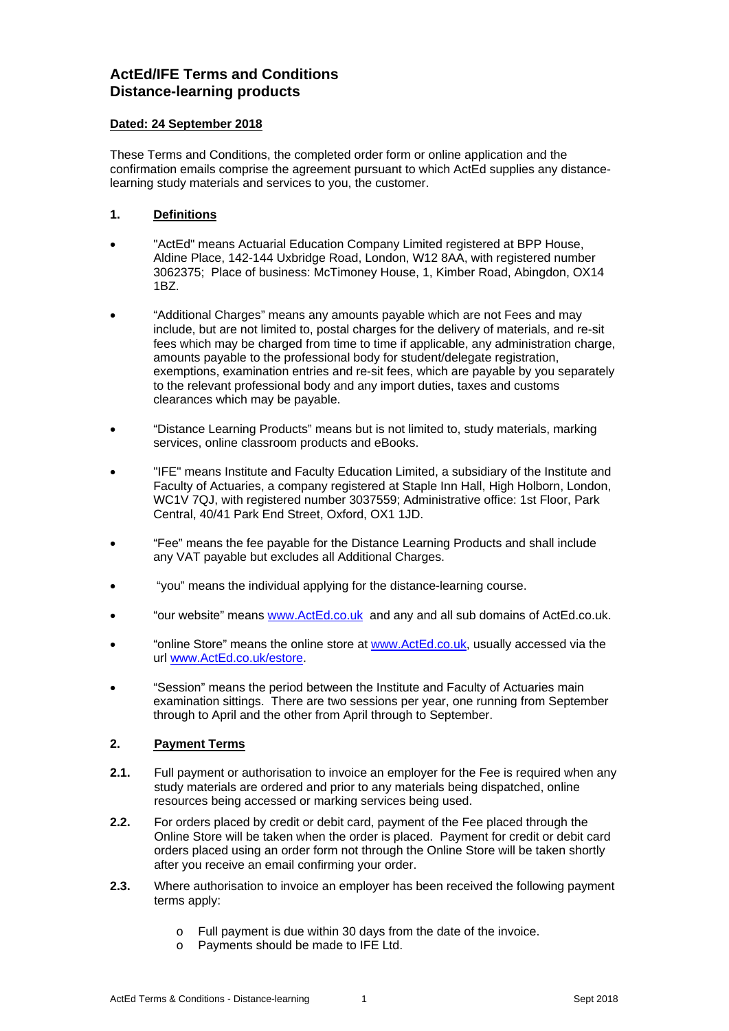# **ActEd/IFE Terms and Conditions Distance-learning products**

#### **Dated: 24 September 2018**

These Terms and Conditions, the completed order form or online application and the confirmation emails comprise the agreement pursuant to which ActEd supplies any distancelearning study materials and services to you, the customer.

# **1. Definitions**

- "ActEd" means Actuarial Education Company Limited registered at BPP House, Aldine Place, 142-144 Uxbridge Road, London, W12 8AA, with registered number 3062375; Place of business: McTimoney House, 1, Kimber Road, Abingdon, OX14 1BZ.
- "Additional Charges" means any amounts payable which are not Fees and may include, but are not limited to, postal charges for the delivery of materials, and re-sit fees which may be charged from time to time if applicable, any administration charge, amounts payable to the professional body for student/delegate registration, exemptions, examination entries and re-sit fees, which are payable by you separately to the relevant professional body and any import duties, taxes and customs clearances which may be payable.
- "Distance Learning Products" means but is not limited to, study materials, marking services, online classroom products and eBooks.
- "IFE" means Institute and Faculty Education Limited, a subsidiary of the Institute and Faculty of Actuaries, a company registered at Staple Inn Hall, High Holborn, London, WC1V 7QJ, with registered number 3037559; Administrative office: 1st Floor, Park Central, 40/41 Park End Street, Oxford, OX1 1JD.
- "Fee" means the fee payable for the Distance Learning Products and shall include any VAT payable but excludes all Additional Charges.
- "you" means the individual applying for the distance-learning course.
- "our website" means www.ActEd.co.uk and any and all sub domains of ActEd.co.uk.
- "online Store" means the online store at www.ActEd.co.uk, usually accessed via the url www.ActEd.co.uk/estore.
- "Session" means the period between the Institute and Faculty of Actuaries main examination sittings. There are two sessions per year, one running from September through to April and the other from April through to September.

## **2. Payment Terms**

- **2.1.** Full payment or authorisation to invoice an employer for the Fee is required when any study materials are ordered and prior to any materials being dispatched, online resources being accessed or marking services being used.
- **2.2.** For orders placed by credit or debit card, payment of the Fee placed through the Online Store will be taken when the order is placed. Payment for credit or debit card orders placed using an order form not through the Online Store will be taken shortly after you receive an email confirming your order.
- **2.3.** Where authorisation to invoice an employer has been received the following payment terms apply:
	- o Full payment is due within 30 days from the date of the invoice.
	- o Payments should be made to IFE Ltd.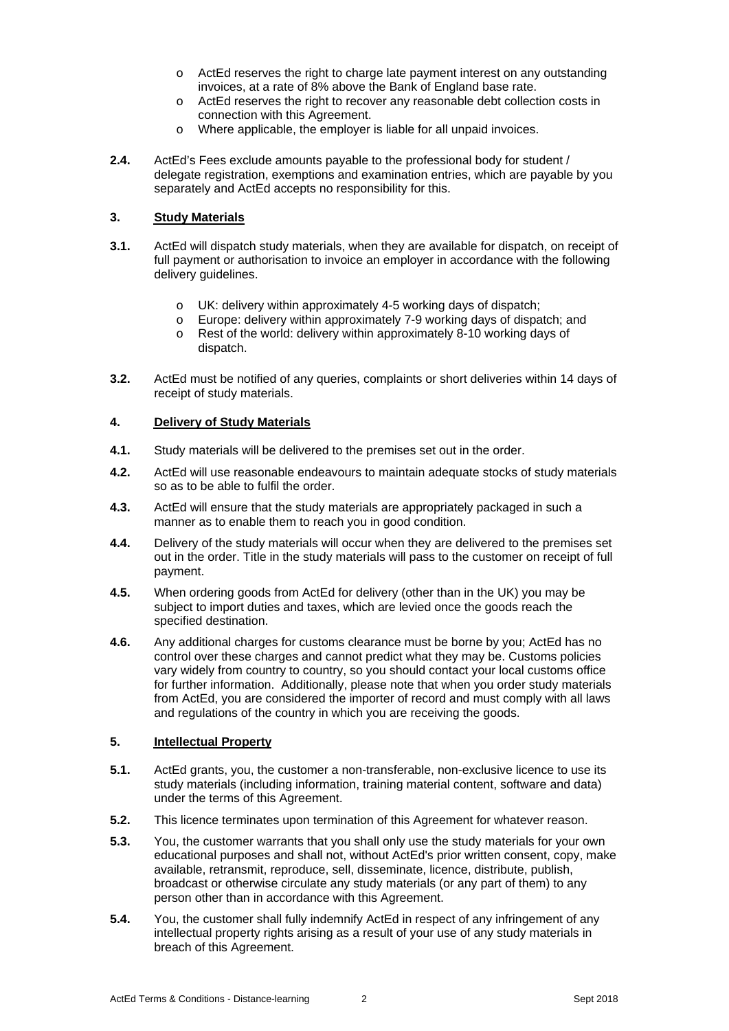- o ActEd reserves the right to charge late payment interest on any outstanding invoices, at a rate of 8% above the Bank of England base rate.
- o ActEd reserves the right to recover any reasonable debt collection costs in connection with this Agreement.
- o Where applicable, the employer is liable for all unpaid invoices.
- **2.4.** ActEd's Fees exclude amounts payable to the professional body for student / delegate registration, exemptions and examination entries, which are payable by you separately and ActEd accepts no responsibility for this.

#### **3. Study Materials**

- **3.1.** ActEd will dispatch study materials, when they are available for dispatch, on receipt of full payment or authorisation to invoice an employer in accordance with the following delivery guidelines.
	- o UK: delivery within approximately 4-5 working days of dispatch;
	- o Europe: delivery within approximately 7-9 working days of dispatch; and
	- o Rest of the world: delivery within approximately 8-10 working days of dispatch.
- **3.2.** ActEd must be notified of any queries, complaints or short deliveries within 14 days of receipt of study materials.

#### **4. Delivery of Study Materials**

- **4.1.** Study materials will be delivered to the premises set out in the order.
- **4.2.** ActEd will use reasonable endeavours to maintain adequate stocks of study materials so as to be able to fulfil the order.
- **4.3.** ActEd will ensure that the study materials are appropriately packaged in such a manner as to enable them to reach you in good condition.
- **4.4.** Delivery of the study materials will occur when they are delivered to the premises set out in the order. Title in the study materials will pass to the customer on receipt of full payment.
- **4.5.** When ordering goods from ActEd for delivery (other than in the UK) you may be subject to import duties and taxes, which are levied once the goods reach the specified destination.
- **4.6.** Any additional charges for customs clearance must be borne by you; ActEd has no control over these charges and cannot predict what they may be. Customs policies vary widely from country to country, so you should contact your local customs office for further information. Additionally, please note that when you order study materials from ActEd, you are considered the importer of record and must comply with all laws and regulations of the country in which you are receiving the goods.

#### **5. Intellectual Property**

- **5.1.** ActEd grants, you, the customer a non-transferable, non-exclusive licence to use its study materials (including information, training material content, software and data) under the terms of this Agreement.
- **5.2.** This licence terminates upon termination of this Agreement for whatever reason.
- **5.3.** You, the customer warrants that you shall only use the study materials for your own educational purposes and shall not, without ActEd's prior written consent, copy, make available, retransmit, reproduce, sell, disseminate, licence, distribute, publish, broadcast or otherwise circulate any study materials (or any part of them) to any person other than in accordance with this Agreement.
- **5.4.** You, the customer shall fully indemnify ActEd in respect of any infringement of any intellectual property rights arising as a result of your use of any study materials in breach of this Agreement.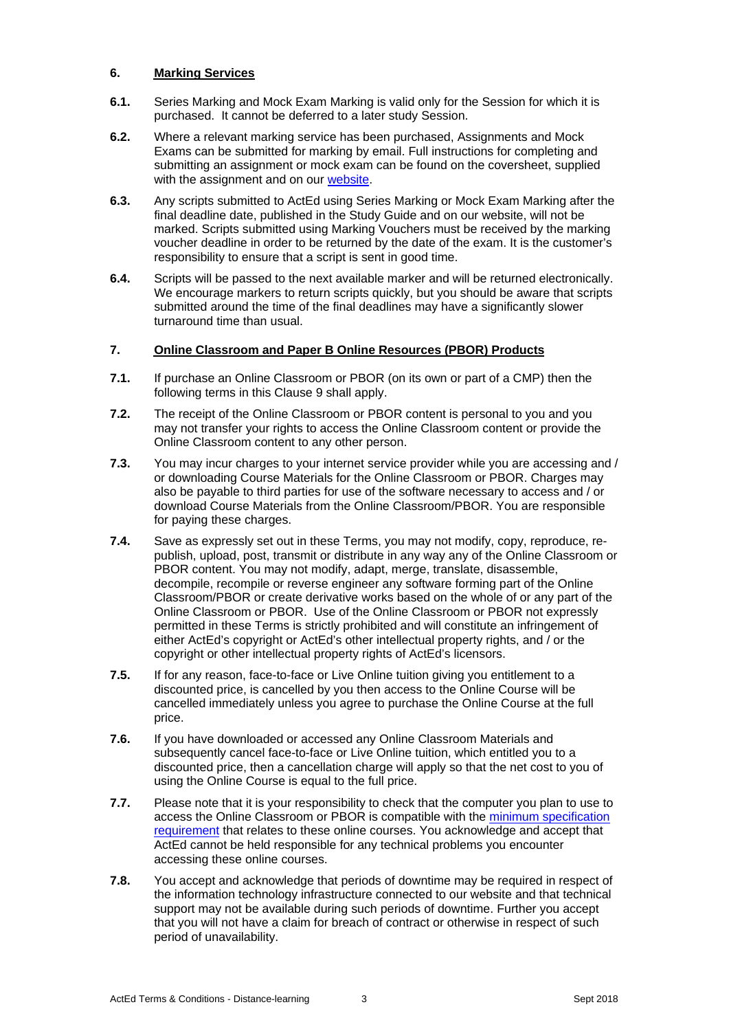# **6. Marking Services**

- **6.1.** Series Marking and Mock Exam Marking is valid only for the Session for which it is purchased. It cannot be deferred to a later study Session.
- **6.2.** Where a relevant marking service has been purchased, Assignments and Mock Exams can be submitted for marking by email. Full instructions for completing and submitting an assignment or mock exam can be found on the coversheet, supplied with the assignment and on our website.
- **6.3.** Any scripts submitted to ActEd using Series Marking or Mock Exam Marking after the final deadline date, published in the Study Guide and on our website, will not be marked. Scripts submitted using Marking Vouchers must be received by the marking voucher deadline in order to be returned by the date of the exam. It is the customer's responsibility to ensure that a script is sent in good time.
- **6.4.** Scripts will be passed to the next available marker and will be returned electronically. We encourage markers to return scripts quickly, but you should be aware that scripts submitted around the time of the final deadlines may have a significantly slower turnaround time than usual.

# **7. Online Classroom and Paper B Online Resources (PBOR) Products**

- **7.1.** If purchase an Online Classroom or PBOR (on its own or part of a CMP) then the following terms in this Clause 9 shall apply.
- **7.2.** The receipt of the Online Classroom or PBOR content is personal to you and you may not transfer your rights to access the Online Classroom content or provide the Online Classroom content to any other person.
- **7.3.** You may incur charges to your internet service provider while you are accessing and / or downloading Course Materials for the Online Classroom or PBOR. Charges may also be payable to third parties for use of the software necessary to access and / or download Course Materials from the Online Classroom/PBOR. You are responsible for paying these charges.
- **7.4.** Save as expressly set out in these Terms, you may not modify, copy, reproduce, republish, upload, post, transmit or distribute in any way any of the Online Classroom or PBOR content. You may not modify, adapt, merge, translate, disassemble, decompile, recompile or reverse engineer any software forming part of the Online Classroom/PBOR or create derivative works based on the whole of or any part of the Online Classroom or PBOR. Use of the Online Classroom or PBOR not expressly permitted in these Terms is strictly prohibited and will constitute an infringement of either ActEd's copyright or ActEd's other intellectual property rights, and / or the copyright or other intellectual property rights of ActEd's licensors.
- **7.5.** If for any reason, face-to-face or Live Online tuition giving you entitlement to a discounted price, is cancelled by you then access to the Online Course will be cancelled immediately unless you agree to purchase the Online Course at the full price.
- **7.6.** If you have downloaded or accessed any Online Classroom Materials and subsequently cancel face-to-face or Live Online tuition, which entitled you to a discounted price, then a cancellation charge will apply so that the net cost to you of using the Online Course is equal to the full price.
- **7.7.** Please note that it is your responsibility to check that the computer you plan to use to access the Online Classroom or PBOR is compatible with the minimum specification requirement that relates to these online courses. You acknowledge and accept that ActEd cannot be held responsible for any technical problems you encounter accessing these online courses.
- **7.8.** You accept and acknowledge that periods of downtime may be required in respect of the information technology infrastructure connected to our website and that technical support may not be available during such periods of downtime. Further you accept that you will not have a claim for breach of contract or otherwise in respect of such period of unavailability.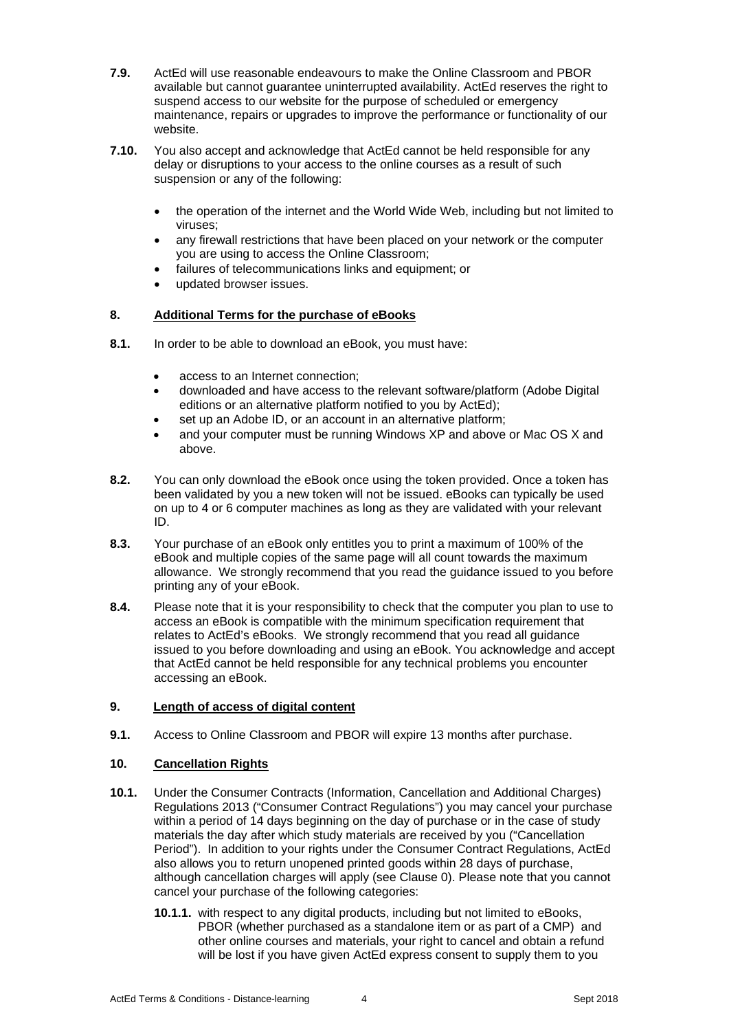- **7.9.** ActEd will use reasonable endeavours to make the Online Classroom and PBOR available but cannot guarantee uninterrupted availability. ActEd reserves the right to suspend access to our website for the purpose of scheduled or emergency maintenance, repairs or upgrades to improve the performance or functionality of our website.
- **7.10.** You also accept and acknowledge that ActEd cannot be held responsible for any delay or disruptions to your access to the online courses as a result of such suspension or any of the following:
	- the operation of the internet and the World Wide Web, including but not limited to viruses;
	- any firewall restrictions that have been placed on your network or the computer you are using to access the Online Classroom;
	- failures of telecommunications links and equipment; or
	- updated browser issues.

# **8. Additional Terms for the purchase of eBooks**

- **8.1.** In order to be able to download an eBook, you must have:
	- access to an Internet connection;
	- downloaded and have access to the relevant software/platform (Adobe Digital editions or an alternative platform notified to you by ActEd);
	- set up an Adobe ID, or an account in an alternative platform;
	- and your computer must be running Windows XP and above or Mac OS X and above.
- **8.2.** You can only download the eBook once using the token provided. Once a token has been validated by you a new token will not be issued. eBooks can typically be used on up to 4 or 6 computer machines as long as they are validated with your relevant ID.
- **8.3.** Your purchase of an eBook only entitles you to print a maximum of 100% of the eBook and multiple copies of the same page will all count towards the maximum allowance. We strongly recommend that you read the guidance issued to you before printing any of your eBook.
- **8.4.** Please note that it is your responsibility to check that the computer you plan to use to access an eBook is compatible with the minimum specification requirement that relates to ActEd's eBooks. We strongly recommend that you read all guidance issued to you before downloading and using an eBook. You acknowledge and accept that ActEd cannot be held responsible for any technical problems you encounter accessing an eBook.

### **9. Length of access of digital content**

**9.1.** Access to Online Classroom and PBOR will expire 13 months after purchase.

#### **10. Cancellation Rights**

- **10.1.** Under the Consumer Contracts (Information, Cancellation and Additional Charges) Regulations 2013 ("Consumer Contract Regulations") you may cancel your purchase within a period of 14 days beginning on the day of purchase or in the case of study materials the day after which study materials are received by you ("Cancellation Period"). In addition to your rights under the Consumer Contract Regulations, ActEd also allows you to return unopened printed goods within 28 days of purchase, although cancellation charges will apply (see Clause 0). Please note that you cannot cancel your purchase of the following categories:
	- **10.1.1.** with respect to any digital products, including but not limited to eBooks, PBOR (whether purchased as a standalone item or as part of a CMP) and other online courses and materials, your right to cancel and obtain a refund will be lost if you have given ActEd express consent to supply them to you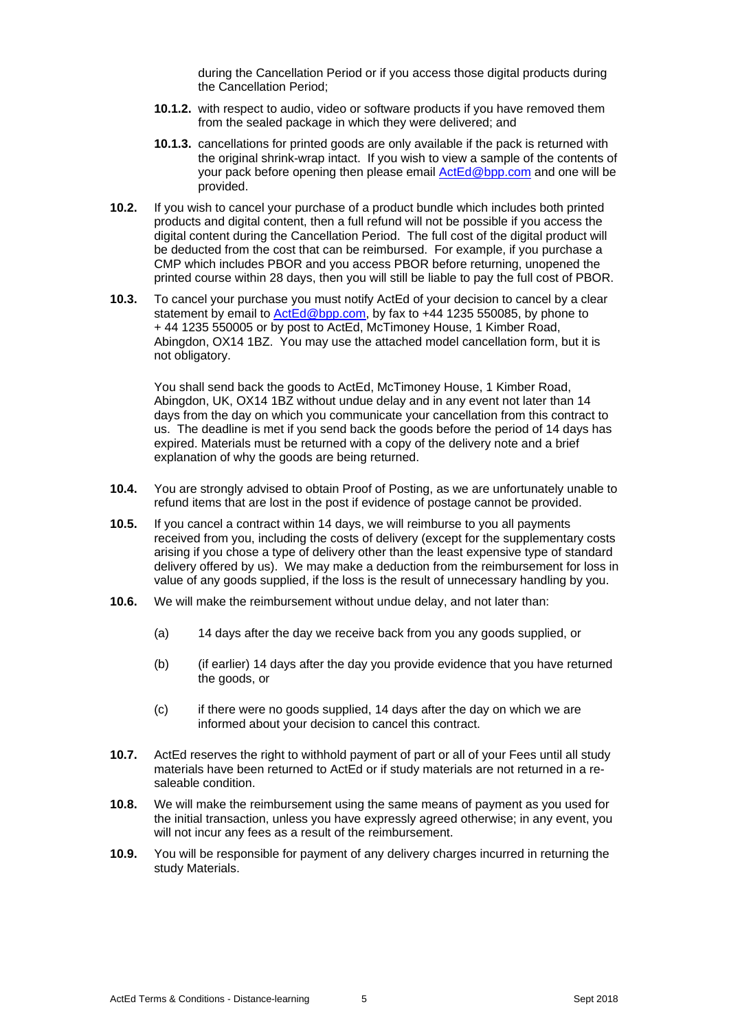during the Cancellation Period or if you access those digital products during the Cancellation Period;

- **10.1.2.** with respect to audio, video or software products if you have removed them from the sealed package in which they were delivered; and
- **10.1.3.** cancellations for printed goods are only available if the pack is returned with the original shrink-wrap intact. If you wish to view a sample of the contents of your pack before opening then please email ActEd@bpp.com and one will be provided.
- **10.2.** If you wish to cancel your purchase of a product bundle which includes both printed products and digital content, then a full refund will not be possible if you access the digital content during the Cancellation Period. The full cost of the digital product will be deducted from the cost that can be reimbursed. For example, if you purchase a CMP which includes PBOR and you access PBOR before returning, unopened the printed course within 28 days, then you will still be liable to pay the full cost of PBOR.
- **10.3.** To cancel your purchase you must notify ActEd of your decision to cancel by a clear statement by email to **ActEd@bpp.com**, by fax to +44 1235 550085, by phone to + 44 1235 550005 or by post to ActEd, McTimoney House, 1 Kimber Road, Abingdon, OX14 1BZ. You may use the attached model cancellation form, but it is not obligatory.

You shall send back the goods to ActEd, McTimoney House, 1 Kimber Road, Abingdon, UK, OX14 1BZ without undue delay and in any event not later than 14 days from the day on which you communicate your cancellation from this contract to us. The deadline is met if you send back the goods before the period of 14 days has expired. Materials must be returned with a copy of the delivery note and a brief explanation of why the goods are being returned.

- **10.4.** You are strongly advised to obtain Proof of Posting, as we are unfortunately unable to refund items that are lost in the post if evidence of postage cannot be provided.
- **10.5.** If you cancel a contract within 14 days, we will reimburse to you all payments received from you, including the costs of delivery (except for the supplementary costs arising if you chose a type of delivery other than the least expensive type of standard delivery offered by us). We may make a deduction from the reimbursement for loss in value of any goods supplied, if the loss is the result of unnecessary handling by you.
- **10.6.** We will make the reimbursement without undue delay, and not later than:
	- (a) 14 days after the day we receive back from you any goods supplied, or
	- (b) (if earlier) 14 days after the day you provide evidence that you have returned the goods, or
	- (c) if there were no goods supplied, 14 days after the day on which we are informed about your decision to cancel this contract.
- **10.7.** ActEd reserves the right to withhold payment of part or all of your Fees until all study materials have been returned to ActEd or if study materials are not returned in a resaleable condition.
- **10.8.** We will make the reimbursement using the same means of payment as you used for the initial transaction, unless you have expressly agreed otherwise; in any event, you will not incur any fees as a result of the reimbursement.
- **10.9.** You will be responsible for payment of any delivery charges incurred in returning the study Materials.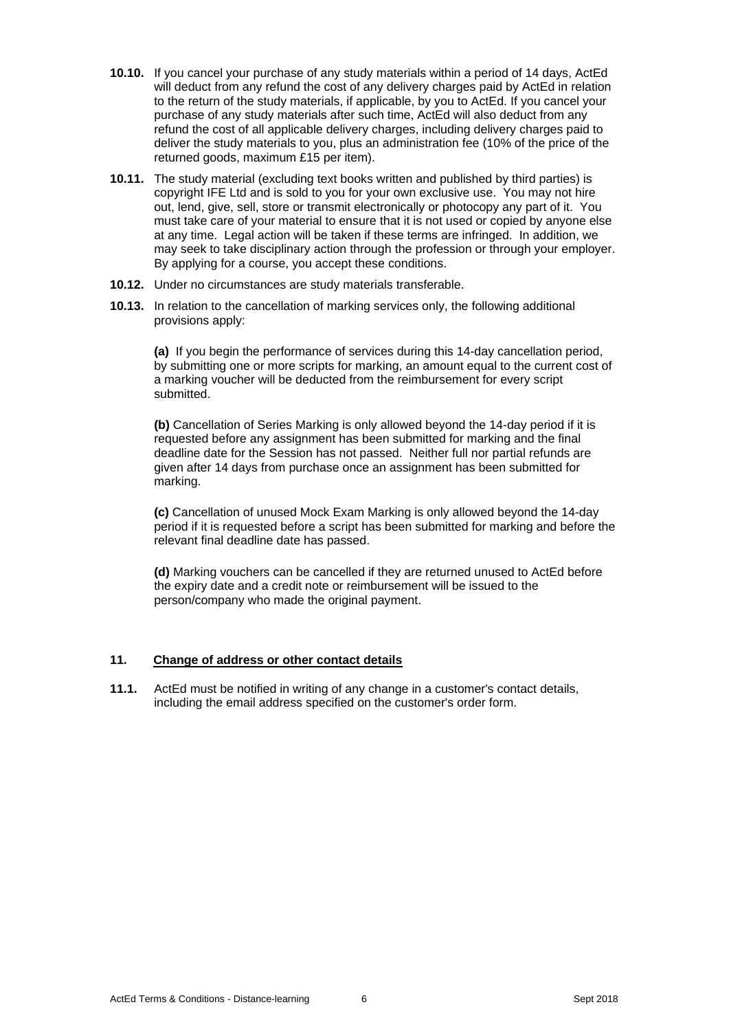- **10.10.** If you cancel your purchase of any study materials within a period of 14 days, ActEd will deduct from any refund the cost of any delivery charges paid by ActEd in relation to the return of the study materials, if applicable, by you to ActEd. If you cancel your purchase of any study materials after such time, ActEd will also deduct from any refund the cost of all applicable delivery charges, including delivery charges paid to deliver the study materials to you, plus an administration fee (10% of the price of the returned goods, maximum £15 per item).
- **10.11.** The study material (excluding text books written and published by third parties) is copyright IFE Ltd and is sold to you for your own exclusive use. You may not hire out, lend, give, sell, store or transmit electronically or photocopy any part of it. You must take care of your material to ensure that it is not used or copied by anyone else at any time. Legal action will be taken if these terms are infringed. In addition, we may seek to take disciplinary action through the profession or through your employer. By applying for a course, you accept these conditions.
- **10.12.** Under no circumstances are study materials transferable.
- **10.13.** In relation to the cancellation of marking services only, the following additional provisions apply:

**(a)** If you begin the performance of services during this 14-day cancellation period, by submitting one or more scripts for marking, an amount equal to the current cost of a marking voucher will be deducted from the reimbursement for every script submitted.

**(b)** Cancellation of Series Marking is only allowed beyond the 14-day period if it is requested before any assignment has been submitted for marking and the final deadline date for the Session has not passed. Neither full nor partial refunds are given after 14 days from purchase once an assignment has been submitted for marking.

**(c)** Cancellation of unused Mock Exam Marking is only allowed beyond the 14-day period if it is requested before a script has been submitted for marking and before the relevant final deadline date has passed.

**(d)** Marking vouchers can be cancelled if they are returned unused to ActEd before the expiry date and a credit note or reimbursement will be issued to the person/company who made the original payment.

#### **11. Change of address or other contact details**

**11.1.** ActEd must be notified in writing of any change in a customer's contact details, including the email address specified on the customer's order form.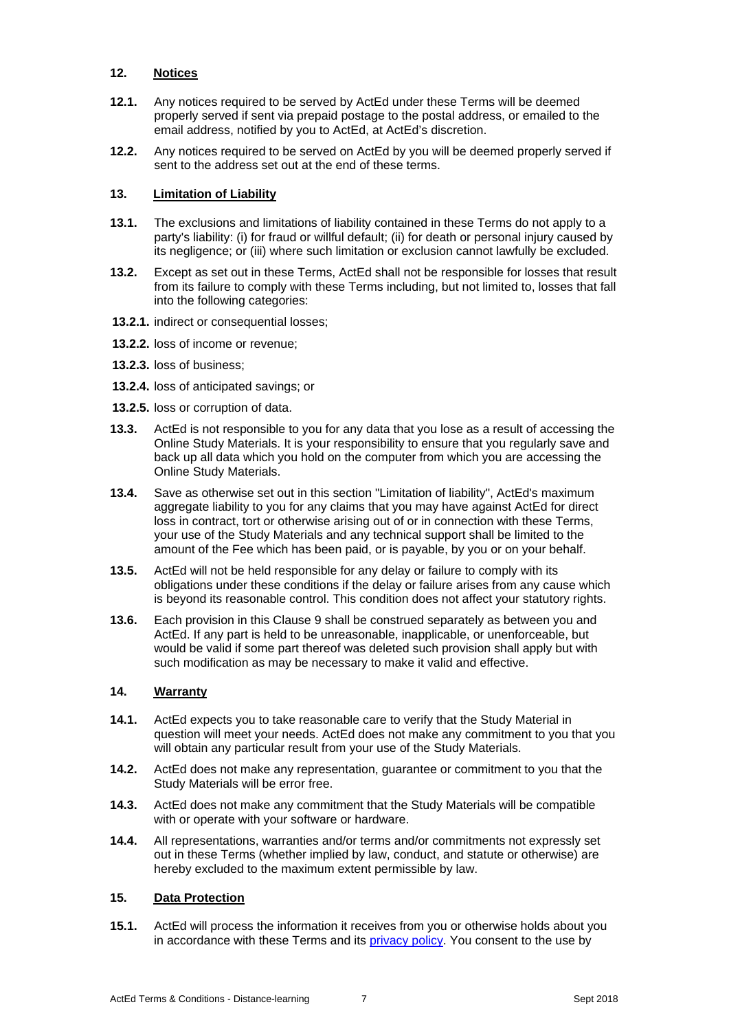### **12. Notices**

- **12.1.** Any notices required to be served by ActEd under these Terms will be deemed properly served if sent via prepaid postage to the postal address, or emailed to the email address, notified by you to ActEd, at ActEd's discretion.
- **12.2.** Any notices required to be served on ActEd by you will be deemed properly served if sent to the address set out at the end of these terms.

# **13. Limitation of Liability**

- **13.1.** The exclusions and limitations of liability contained in these Terms do not apply to a party's liability: (i) for fraud or willful default; (ii) for death or personal injury caused by its negligence; or (iii) where such limitation or exclusion cannot lawfully be excluded.
- **13.2.** Except as set out in these Terms, ActEd shall not be responsible for losses that result from its failure to comply with these Terms including, but not limited to, losses that fall into the following categories:
- **13.2.1.** indirect or consequential losses;
- **13.2.2.** loss of income or revenue;
- **13.2.3.** loss of business;
- **13.2.4.** loss of anticipated savings; or
- **13.2.5.** loss or corruption of data.
- **13.3.** ActEd is not responsible to you for any data that you lose as a result of accessing the Online Study Materials. It is your responsibility to ensure that you regularly save and back up all data which you hold on the computer from which you are accessing the Online Study Materials.
- **13.4.** Save as otherwise set out in this section "Limitation of liability", ActEd's maximum aggregate liability to you for any claims that you may have against ActEd for direct loss in contract, tort or otherwise arising out of or in connection with these Terms, your use of the Study Materials and any technical support shall be limited to the amount of the Fee which has been paid, or is payable, by you or on your behalf.
- **13.5.** ActEd will not be held responsible for any delay or failure to comply with its obligations under these conditions if the delay or failure arises from any cause which is beyond its reasonable control. This condition does not affect your statutory rights.
- **13.6.** Each provision in this Clause 9 shall be construed separately as between you and ActEd. If any part is held to be unreasonable, inapplicable, or unenforceable, but would be valid if some part thereof was deleted such provision shall apply but with such modification as may be necessary to make it valid and effective.

## **14. Warranty**

- **14.1.** ActEd expects you to take reasonable care to verify that the Study Material in question will meet your needs. ActEd does not make any commitment to you that you will obtain any particular result from your use of the Study Materials.
- **14.2.** ActEd does not make any representation, guarantee or commitment to you that the Study Materials will be error free.
- **14.3.** ActEd does not make any commitment that the Study Materials will be compatible with or operate with your software or hardware.
- **14.4.** All representations, warranties and/or terms and/or commitments not expressly set out in these Terms (whether implied by law, conduct, and statute or otherwise) are hereby excluded to the maximum extent permissible by law.

#### **15. Data Protection**

**15.1.** ActEd will process the information it receives from you or otherwise holds about you in accordance with these Terms and its privacy policy. You consent to the use by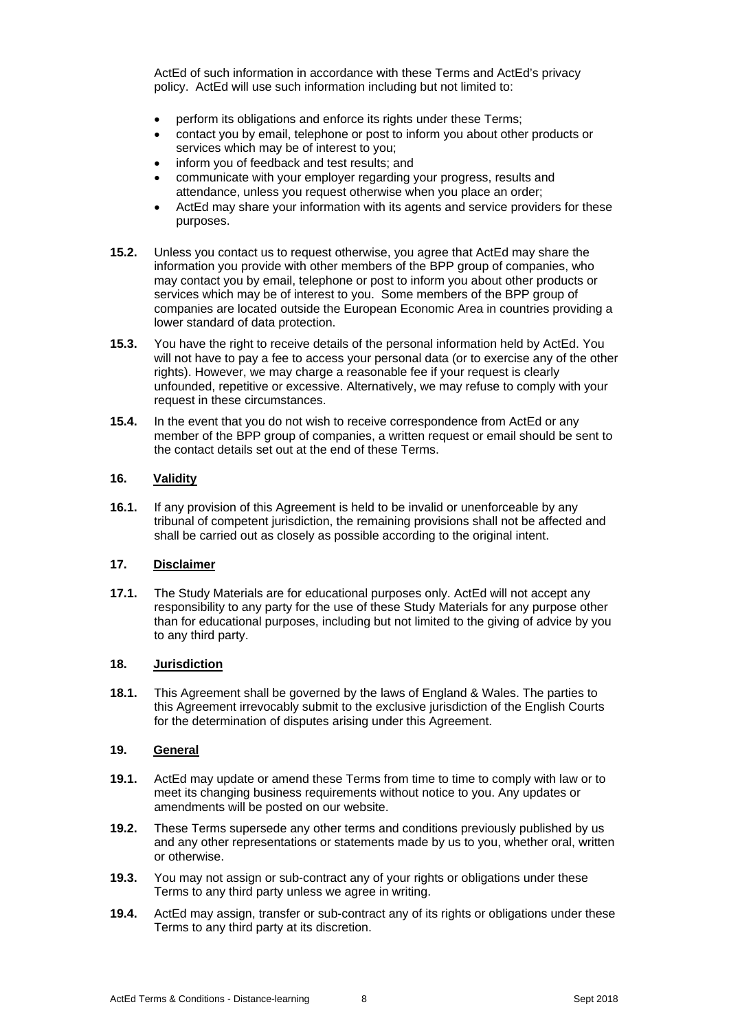ActEd of such information in accordance with these Terms and ActEd's privacy policy. ActEd will use such information including but not limited to:

- perform its obligations and enforce its rights under these Terms:
- contact you by email, telephone or post to inform you about other products or services which may be of interest to you;
- inform you of feedback and test results; and
- communicate with your employer regarding your progress, results and attendance, unless you request otherwise when you place an order;
- ActEd may share your information with its agents and service providers for these purposes.
- **15.2.** Unless you contact us to request otherwise, you agree that ActEd may share the information you provide with other members of the BPP group of companies, who may contact you by email, telephone or post to inform you about other products or services which may be of interest to you. Some members of the BPP group of companies are located outside the European Economic Area in countries providing a lower standard of data protection.
- **15.3.** You have the right to receive details of the personal information held by ActEd. You will not have to pay a fee to access your personal data (or to exercise any of the other rights). However, we may charge a reasonable fee if your request is clearly unfounded, repetitive or excessive. Alternatively, we may refuse to comply with your request in these circumstances.
- **15.4.** In the event that you do not wish to receive correspondence from ActEd or any member of the BPP group of companies, a written request or email should be sent to the contact details set out at the end of these Terms.

#### **16. Validity**

**16.1.** If any provision of this Agreement is held to be invalid or unenforceable by any tribunal of competent jurisdiction, the remaining provisions shall not be affected and shall be carried out as closely as possible according to the original intent.

#### **17. Disclaimer**

**17.1.** The Study Materials are for educational purposes only. ActEd will not accept any responsibility to any party for the use of these Study Materials for any purpose other than for educational purposes, including but not limited to the giving of advice by you to any third party.

### **18. Jurisdiction**

**18.1.** This Agreement shall be governed by the laws of England & Wales. The parties to this Agreement irrevocably submit to the exclusive jurisdiction of the English Courts for the determination of disputes arising under this Agreement.

#### **19. General**

- **19.1.** ActEd may update or amend these Terms from time to time to comply with law or to meet its changing business requirements without notice to you. Any updates or amendments will be posted on our website.
- **19.2.** These Terms supersede any other terms and conditions previously published by us and any other representations or statements made by us to you, whether oral, written or otherwise.
- **19.3.** You may not assign or sub-contract any of your rights or obligations under these Terms to any third party unless we agree in writing.
- **19.4.** ActEd may assign, transfer or sub-contract any of its rights or obligations under these Terms to any third party at its discretion.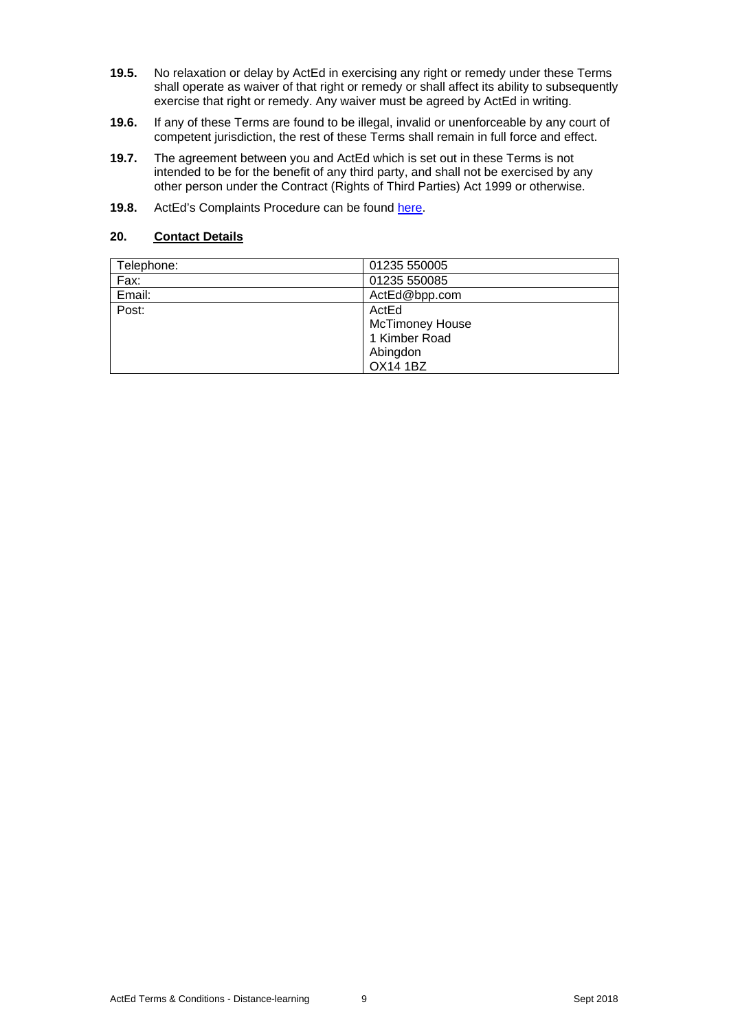- **19.5.** No relaxation or delay by ActEd in exercising any right or remedy under these Terms shall operate as waiver of that right or remedy or shall affect its ability to subsequently exercise that right or remedy. Any waiver must be agreed by ActEd in writing.
- **19.6.** If any of these Terms are found to be illegal, invalid or unenforceable by any court of competent jurisdiction, the rest of these Terms shall remain in full force and effect.
- **19.7.** The agreement between you and ActEd which is set out in these Terms is not intended to be for the benefit of any third party, and shall not be exercised by any other person under the Contract (Rights of Third Parties) Act 1999 or otherwise.
- **19.8.** ActEd's Complaints Procedure can be found here.

# **20. Contact Details**

| Telephone: | 01235 550005           |
|------------|------------------------|
| Fax:       | 01235 550085           |
| Email:     | ActEd@bpp.com          |
| Post:      | ActEd                  |
|            | <b>McTimoney House</b> |
|            | 1 Kimber Road          |
|            | Abingdon               |
|            | <b>OX14 1BZ</b>        |